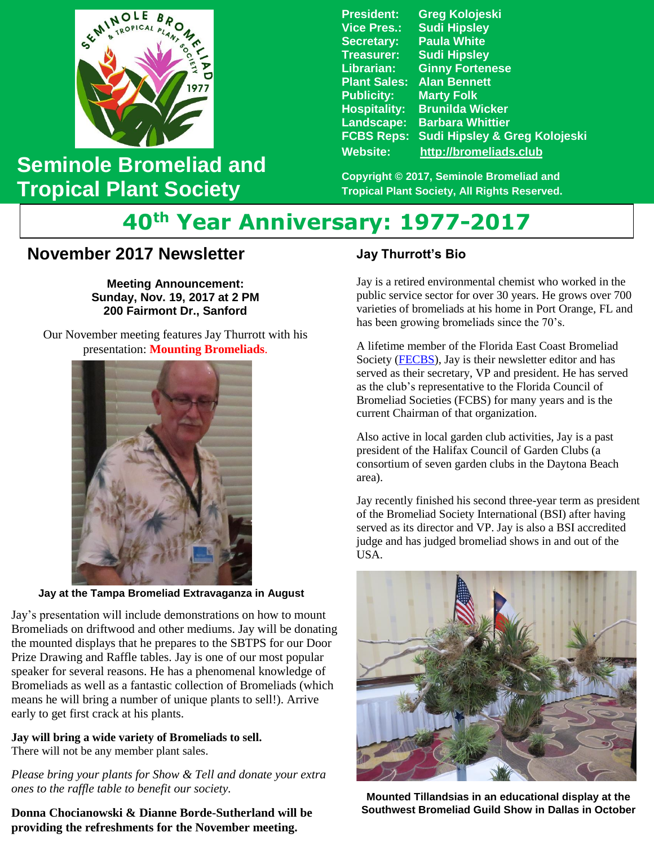

## **Seminole Bromeliad and Tropical Plant Society**

**President: Greg Kolojeski Vice Pres.: Sudi Hipsley Secretary: Paula White Treasurer: Sudi Hipsley Librarian: Ginny Fortenese Plant Sales: Alan Bennett Marty Folk Hospitality: Brunilda Wicker Landscape: Barbara Whittier FCBS Reps: Sudi Hipsley & Greg Kolojeski Website: [http://bromeliads.club](http://bromeliads.club/)**

**Copyright © 2017, Seminole Bromeliad and Tropical Plant Society, All Rights Reserved.**

# **40th Year Anniversary: 1977-2017**

### **November 2017 Newsletter**

**Meeting Announcement: Sunday, Nov. 19, 2017 at 2 PM 200 Fairmont Dr., Sanford**

Our November meeting features Jay Thurrott with his presentation: **Mounting Bromeliads**.



**Jay at the Tampa Bromeliad Extravaganza in August**

Jay's presentation will include demonstrations on how to mount Bromeliads on driftwood and other mediums. Jay will be donating the mounted displays that he prepares to the SBTPS for our Door Prize Drawing and Raffle tables. Jay is one of our most popular speaker for several reasons. He has a phenomenal knowledge of Bromeliads as well as a fantastic collection of Bromeliads (which means he will bring a number of unique plants to sell!). Arrive early to get first crack at his plants.

**Jay will bring a wide variety of Bromeliads to sell.**  There will not be any member plant sales.

*Please bring your plants for Show & Tell and donate your extra ones to the raffle table to benefit our society.* 

**Donna Chocianowski & Dianne Borde-Sutherland will be providing the refreshments for the November meeting.**

#### **Jay Thurrott's Bio**

Jay is a retired environmental chemist who worked in the public service sector for over 30 years. He grows over 700 varieties of bromeliads at his home in Port Orange, FL and has been growing bromeliads since the 70's.

A lifetime member of the Florida East Coast Bromeliad Society [\(FECBS\)](http://fcbs.org/newsletters/fecbsnewsletters.htm), Jay is their newsletter editor and has served as their secretary, VP and president. He has served as the club's representative to the Florida Council of Bromeliad Societies (FCBS) for many years and is the current Chairman of that organization.

Also active in local garden club activities, Jay is a past president of the Halifax Council of Garden Clubs (a consortium of seven garden clubs in the Daytona Beach area).

Jay recently finished his second three-year term as president of the Bromeliad Society International (BSI) after having served as its director and VP. Jay is also a BSI accredited judge and has judged bromeliad shows in and out of the USA.



**Mounted Tillandsias in an educational display at the Southwest Bromeliad Guild Show in Dallas in October**